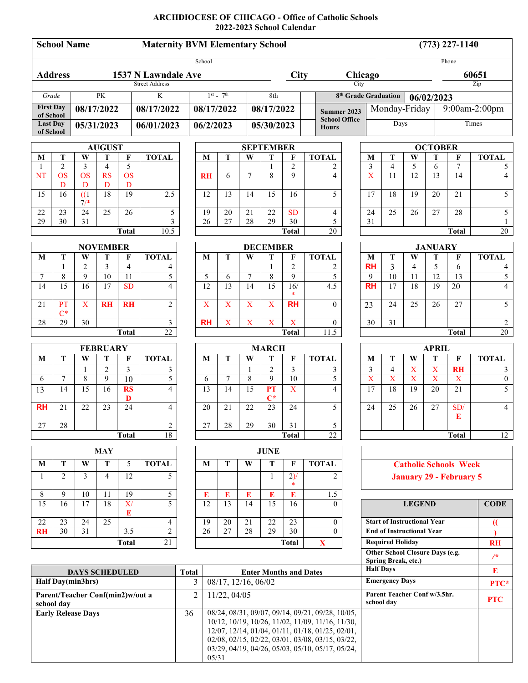# **ARCHDIOCESE OF CHICAGO - Office of Catholic Schools 2022-2023 School Calendar**

| <b>School Name</b><br><b>Maternity BVM Elementary School</b> |                                  |                                          |                                                  |                                                                                                      |                         |                     |                                                  |                 |                         |                                                          |                                        |              | $(773)$ 227-1140                     |                                                             |                              |                               |                      |                                      |                       |  |
|--------------------------------------------------------------|----------------------------------|------------------------------------------|--------------------------------------------------|------------------------------------------------------------------------------------------------------|-------------------------|---------------------|--------------------------------------------------|-----------------|-------------------------|----------------------------------------------------------|----------------------------------------|--------------|--------------------------------------|-------------------------------------------------------------|------------------------------|-------------------------------|----------------------|--------------------------------------|-----------------------|--|
|                                                              |                                  |                                          |                                                  |                                                                                                      |                         |                     | School                                           |                 |                         |                                                          |                                        |              |                                      | Phone                                                       |                              |                               |                      |                                      |                       |  |
| <b>Address</b><br>1537 N Lawndale Ave                        |                                  |                                          |                                                  |                                                                                                      |                         |                     |                                                  |                 |                         | <b>City</b>                                              |                                        |              |                                      | Chicago                                                     |                              |                               |                      | 60651                                |                       |  |
| <b>Street Address</b>                                        |                                  |                                          |                                                  |                                                                                                      |                         |                     |                                                  |                 |                         |                                                          |                                        |              |                                      | City                                                        |                              |                               |                      | Zip                                  |                       |  |
| <b>PK</b><br>Grade                                           |                                  |                                          |                                                  |                                                                                                      | $\overline{\mathbf{K}}$ | $1^{st}$ - $7^{th}$ |                                                  |                 |                         | 8th                                                      |                                        |              |                                      | 8 <sup>th</sup> Grade Graduation<br>06/02/2023              |                              |                               |                      |                                      |                       |  |
| <b>First Day</b><br>of School                                |                                  | 08/17/2022                               |                                                  |                                                                                                      | 08/17/2022              |                     | 08/17/2022                                       |                 |                         | 08/17/2022                                               |                                        |              | <b>Summer 2023</b>                   | Monday-Friday                                               |                              |                               |                      | 9:00am-2:00pm                        |                       |  |
| <b>Last Day</b><br>of School                                 |                                  | 05/31/2023                               |                                                  |                                                                                                      | 06/01/2023              |                     | 06/2/2023                                        |                 |                         | 05/30/2023                                               |                                        |              | <b>School Office</b><br><b>Hours</b> | Days                                                        |                              |                               |                      | Times                                |                       |  |
| <b>AUGUST</b>                                                |                                  |                                          |                                                  |                                                                                                      |                         |                     |                                                  |                 |                         | <b>SEPTEMBER</b>                                         |                                        |              |                                      |                                                             | <b>OCTOBER</b>               |                               |                      |                                      |                       |  |
| $\bf{M}$                                                     | T                                | W                                        | T                                                | $\mathbf F$                                                                                          | <b>TOTAL</b>            |                     | M                                                | T               | W                       | T                                                        | $\mathbf F$                            | <b>TOTAL</b> |                                      | M                                                           | T                            | W                             | ${\bf T}$            | $\mathbf{F}$                         | <b>TOTAL</b>          |  |
| NT                                                           | $\overline{c}$<br><b>OS</b>      | $\mathfrak{Z}$<br>$\overline{\text{OS}}$ | $\overline{4}$<br><b>RS</b>                      | 5<br><b>OS</b>                                                                                       |                         |                     | <b>RH</b>                                        | 6               | $\tau$                  | $\mathbf{1}$<br>8                                        | $\overline{c}$<br>9                    |              | 2<br>$\overline{4}$                  | $\mathfrak{Z}$<br>$\overline{X}$                            | $\overline{4}$<br>11         | 5<br>$\overline{12}$          | 6<br>$\overline{13}$ | $\overline{7}$<br>$\overline{14}$    | 5<br>$\overline{4}$   |  |
|                                                              | D                                | D                                        | D                                                | D                                                                                                    |                         |                     |                                                  |                 |                         |                                                          |                                        |              |                                      |                                                             |                              |                               |                      |                                      |                       |  |
| 15                                                           | 16                               | (1)<br>$7/*$                             | 18                                               | 19                                                                                                   | 2.5                     |                     | 12                                               | 13              | 14                      | 15                                                       | 16                                     |              | 5                                    | 17                                                          | 18                           | 19                            | 20                   | 21                                   | 5                     |  |
| 22                                                           | 23                               | $\overline{24}$                          | 25                                               | 26                                                                                                   | 5                       |                     | 19                                               | 20              | 21                      | 22                                                       | <b>SD</b>                              |              | 4                                    | 24                                                          | 25                           | 26                            | 27                   | 28                                   | 5                     |  |
| 29                                                           | 30                               | 31                                       |                                                  |                                                                                                      | $\overline{3}$<br>10.5  |                     | 26                                               | 27              | 28                      | 29                                                       | $\overline{30}$                        |              | 5<br>$\overline{20}$                 | 31                                                          |                              |                               |                      | <b>Total</b>                         | $\mathbf{1}$<br>20    |  |
| <b>Total</b>                                                 |                                  |                                          |                                                  |                                                                                                      |                         |                     | <b>Total</b>                                     |                 |                         |                                                          |                                        |              |                                      |                                                             |                              |                               |                      |                                      |                       |  |
|                                                              | <b>NOVEMBER</b>                  |                                          |                                                  |                                                                                                      |                         |                     |                                                  |                 |                         | <b>DECEMBER</b>                                          |                                        |              | <b>TOTAL</b>                         |                                                             | T<br>W                       |                               | <b>JANUARY</b>       |                                      |                       |  |
| M                                                            | T<br>$\mathbf{1}$                | W<br>$\overline{2}$                      | T<br>$\overline{3}$                              | $\mathbf{F}$<br>$\overline{4}$                                                                       | <b>TOTAL</b><br>4       |                     | M                                                | T               | W                       | T<br>$\mathbf{1}$                                        | F<br>$\overline{2}$                    |              | 2                                    | M<br><b>RH</b>                                              | 3                            | $\overline{4}$                | T<br>$\overline{5}$  | F<br>6                               | <b>TOTAL</b><br>4     |  |
| 7                                                            | $\,$ 8 $\,$                      | $\overline{9}$                           | $\overline{10}$                                  | $\overline{11}$                                                                                      | 5                       |                     | 5                                                | 6               | 7                       | $\,$ 8 $\,$                                              | $\overline{9}$                         |              | 5                                    | 9                                                           | $\overline{10}$              | 11                            | $\overline{12}$      | 13                                   | 5                     |  |
| 14                                                           | 15                               | 16                                       | 17                                               | <b>SD</b>                                                                                            | $\overline{\mathbf{4}}$ |                     | $\overline{12}$                                  | 13              | 14                      | 15                                                       | 16/<br>$\ast$                          |              | 4.5                                  | <b>RH</b>                                                   | 17                           | 18                            | 19                   | $\overline{20}$                      | $\overline{4}$        |  |
| 21                                                           | PT<br>$C^*$                      | $\mathbf X$                              | <b>RH</b>                                        | <b>RH</b>                                                                                            | $\overline{2}$          |                     | $\mathbf X$                                      | $\mathbf X$     | $\mathbf X$             | X                                                        | <b>RH</b>                              |              | $\theta$                             | 23                                                          | 24                           | 25                            | 26                   | 27                                   | 5                     |  |
| 28                                                           | 29                               | 30                                       |                                                  |                                                                                                      | 3                       |                     | <b>RH</b>                                        | $\overline{X}$  | $\overline{\mathbf{X}}$ | $\mathbf X$                                              | $\overline{X}$                         |              | $\overline{0}$                       | 30                                                          | $\overline{31}$              |                               |                      |                                      | $\overline{c}$        |  |
| 22<br><b>Total</b>                                           |                                  |                                          |                                                  |                                                                                                      |                         |                     | 11.5<br><b>Total</b>                             |                 |                         |                                                          |                                        |              |                                      | 20<br><b>Total</b>                                          |                              |                               |                      |                                      |                       |  |
|                                                              | <b>FEBRUARY</b>                  |                                          |                                                  |                                                                                                      |                         |                     |                                                  |                 |                         | <b>MARCH</b>                                             |                                        |              |                                      | <b>APRIL</b>                                                |                              |                               |                      |                                      |                       |  |
| M                                                            | $\mathbf T$                      | W                                        | T<br>$\overline{2}$                              | F<br>3                                                                                               | <b>TOTAL</b>            |                     | M                                                | T               | W                       | T<br>$\overline{2}$                                      | $\mathbf F$<br>$\overline{\mathbf{3}}$ | <b>TOTAL</b> |                                      | $\bf{M}$                                                    | T                            | W                             | T                    | $\mathbf F$                          | <b>TOTAL</b>          |  |
| 6                                                            | $\tau$                           | $\,$ 8 $\,$                              | 9                                                | 10                                                                                                   | 3<br>5                  |                     | 6                                                | $\tau$          | 1<br>8                  | 9                                                        | $\overline{10}$                        |              | 3<br>$\overline{5}$                  | 3<br>$\overline{X}$                                         | 4<br>$\overline{\mathbf{X}}$ | $\mathbf X$<br>$\overline{X}$ | X<br>$\overline{X}$  | <b>RH</b><br>$\overline{\mathbf{X}}$ | 3<br>$\boldsymbol{0}$ |  |
| 13                                                           | 14                               | 15                                       | 16                                               | <b>RS</b><br>D                                                                                       | $\overline{4}$          |                     | 13                                               | $\overline{14}$ | 15                      | PT<br>$\mathbf{C}^*$                                     | $\overline{\mathbf{X}}$                |              | $\overline{4}$                       | 17                                                          | 18                           | $\overline{19}$               | 20                   | $\overline{21}$                      | 5                     |  |
| <b>RH</b>                                                    | 21                               | 22                                       | 23                                               | 24                                                                                                   | $\overline{4}$          |                     | 20                                               | 21              | 22                      | 23                                                       | 24                                     |              | 5                                    | 24                                                          | 25                           | 26                            | 27                   | SD/<br>Е                             | 4                     |  |
| 27                                                           | 28                               |                                          |                                                  |                                                                                                      | 2                       |                     | 27                                               | 28              | 29                      | 30                                                       | 31                                     |              | 5                                    |                                                             |                              |                               |                      |                                      |                       |  |
| 18<br><b>Total</b>                                           |                                  |                                          |                                                  |                                                                                                      |                         |                     | 22<br><b>Total</b>                               |                 |                         |                                                          |                                        |              |                                      |                                                             |                              |                               |                      | <b>Total</b>                         | 12                    |  |
| <b>MAY</b>                                                   |                                  |                                          |                                                  |                                                                                                      |                         |                     | <b>JUNE</b>                                      |                 |                         |                                                          |                                        |              |                                      |                                                             |                              |                               |                      |                                      |                       |  |
| M                                                            | Т                                | W                                        | 5<br><b>TOTAL</b><br>T                           |                                                                                                      |                         |                     | T<br>M<br>W                                      |                 |                         |                                                          | T<br>$\mathbf{F}$<br><b>TOTAL</b>      |              |                                      | <b>Catholic Schools Week</b>                                |                              |                               |                      |                                      |                       |  |
| 1                                                            | $\overline{2}$                   | 3                                        | $\overline{4}$                                   | 12                                                                                                   | 5                       |                     |                                                  |                 |                         | $\mathbf{1}$                                             | $2)$ /                                 |              | $\overline{2}$                       | <b>January 29 - February 5</b>                              |                              |                               |                      |                                      |                       |  |
| 8                                                            | 9                                | 10                                       | 11                                               | 19                                                                                                   | 5                       |                     | E                                                | E               | E                       | E                                                        | E                                      |              | 1.5                                  |                                                             |                              |                               |                      |                                      |                       |  |
| $\overline{15}$                                              | 16                               | 17                                       | 18                                               | X/<br>E                                                                                              | 5                       |                     | 12                                               | 13              | 14                      | 15                                                       | 16                                     |              | $\Omega$                             | <b>LEGEND</b><br><b>Start of Instructional Year</b>         |                              |                               |                      |                                      | <b>CODE</b>           |  |
| 22                                                           | 23<br>30                         | 24                                       | 25                                               |                                                                                                      | 4<br>$\overline{c}$     |                     | 19<br>26                                         | 20              | 21<br>28                | 22<br>29                                                 | 23<br>30                               |              | $\overline{0}$<br>$\Omega$           |                                                             |                              |                               |                      |                                      | $\mathcal{U}$         |  |
| <b>RH</b>                                                    |                                  | 31                                       |                                                  | 3.5<br><b>Total</b>                                                                                  | $\overline{21}$         |                     |                                                  | 27              |                         |                                                          | <b>Total</b>                           | $\mathbf{X}$ |                                      | <b>End of Instructional Year</b><br><b>Required Holiday</b> |                              |                               |                      |                                      |                       |  |
|                                                              |                                  |                                          |                                                  |                                                                                                      |                         |                     |                                                  |                 |                         |                                                          |                                        |              |                                      | <b>RH</b><br>Other School Closure Days (e.g.                |                              |                               |                      |                                      |                       |  |
|                                                              |                                  |                                          |                                                  |                                                                                                      |                         |                     |                                                  |                 |                         |                                                          |                                        |              |                                      | $/$ *<br>Spring Break, etc.)                                |                              |                               |                      |                                      |                       |  |
| <b>DAYS SCHEDULED</b><br>Half Day(min3hrs)                   |                                  |                                          |                                                  |                                                                                                      |                         |                     | <b>Total</b><br><b>Enter Months and Dates</b>    |                 |                         |                                                          |                                        |              |                                      | <b>Half Days</b><br>${\bf E}$<br><b>Emergency Days</b>      |                              |                               |                      |                                      |                       |  |
|                                                              |                                  | 3                                        | 08/17, 12/16, 06/02                              |                                                                                                      |                         |                     |                                                  |                 |                         |                                                          | PTC*                                   |              |                                      |                                                             |                              |                               |                      |                                      |                       |  |
| school day                                                   | Parent/Teacher Conf(min2)w/out a | $\overline{2}$                           | 11/22, 04/05                                     |                                                                                                      |                         |                     |                                                  |                 |                         | Parent Teacher Conf w/3.5hr.<br><b>PTC</b><br>school day |                                        |              |                                      |                                                             |                              |                               |                      |                                      |                       |  |
| <b>Early Release Days</b>                                    |                                  | 36                                       | 08/24, 08/31, 09/07, 09/14, 09/21, 09/28, 10/05, |                                                                                                      |                         |                     |                                                  |                 |                         |                                                          |                                        |              |                                      |                                                             |                              |                               |                      |                                      |                       |  |
|                                                              |                                  |                                          |                                                  | 10/12, 10/19, 10/26, 11/02, 11/09, 11/16, 11/30,<br>12/07, 12/14, 01/04, 01/11, 01/18, 01/25, 02/01, |                         |                     |                                                  |                 |                         |                                                          |                                        |              |                                      |                                                             |                              |                               |                      |                                      |                       |  |
|                                                              |                                  |                                          |                                                  |                                                                                                      |                         |                     | 02/08, 02/15, 02/22, 03/01, 03/08, 03/15, 03/22, |                 |                         |                                                          |                                        |              |                                      |                                                             |                              |                               |                      |                                      |                       |  |

03/29, 04/19, 04/26, 05/03, 05/10, 05/17, 05/24,

05/31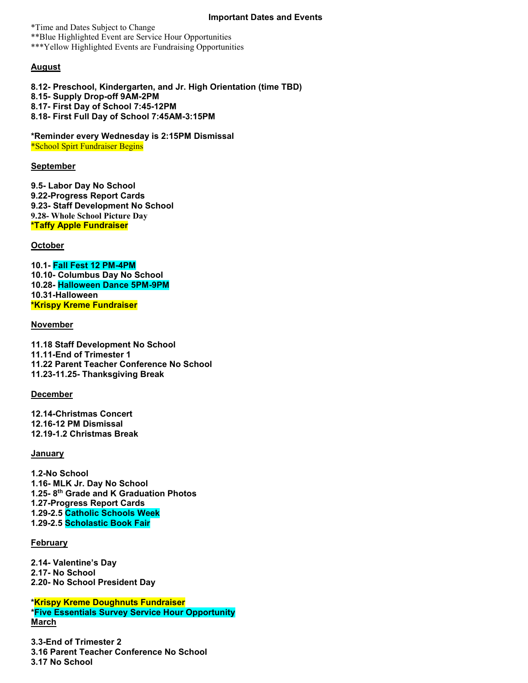\*Time and Dates Subject to Change \*\*Blue Highlighted Event are Service Hour Opportunities \*\*\*Yellow Highlighted Events are Fundraising Opportunities

## **August**

**8.12- Preschool, Kindergarten, and Jr. High Orientation (time TBD) 8.15- Supply Drop-off 9AM-2PM 8.17- First Day of School 7:45-12PM 8.18- First Full Day of School 7:45AM-3:15PM**

**\*Reminder every Wednesday is 2:15PM Dismissal** \*School Spirt Fundraiser Begins

#### **September**

**9.5- Labor Day No School 9.22-Progress Report Cards 9.23- Staff Development No School 9.28- Whole School Picture Day \*Taffy Apple Fundraiser**

**October**

**10.1- Fall Fest 12 PM-4PM 10.10- Columbus Day No School 10.28- Halloween Dance 5PM-9PM 10.31-Halloween \*Krispy Kreme Fundraiser**

## **November**

**11.18 Staff Development No School 11.11-End of Trimester 1 11.22 Parent Teacher Conference No School 11.23-11.25- Thanksgiving Break**

#### **December**

**12.14-Christmas Concert 12.16-12 PM Dismissal 12.19-1.2 Christmas Break**

#### **January**

**1.2-No School 1.16- MLK Jr. Day No School 1.25- 8th Grade and K Graduation Photos 1.27-Progress Report Cards 1.29-2.5 Catholic Schools Week 1.29-2.5 Scholastic Book Fair**

#### **February**

**2.14- Valentine's Day 2.17- No School 2.20- No School President Day**

**\*Krispy Kreme Doughnuts Fundraiser \*Five Essentials Survey Service Hour Opportunity March**

**3.3-End of Trimester 2 3.16 Parent Teacher Conference No School 3.17 No School**